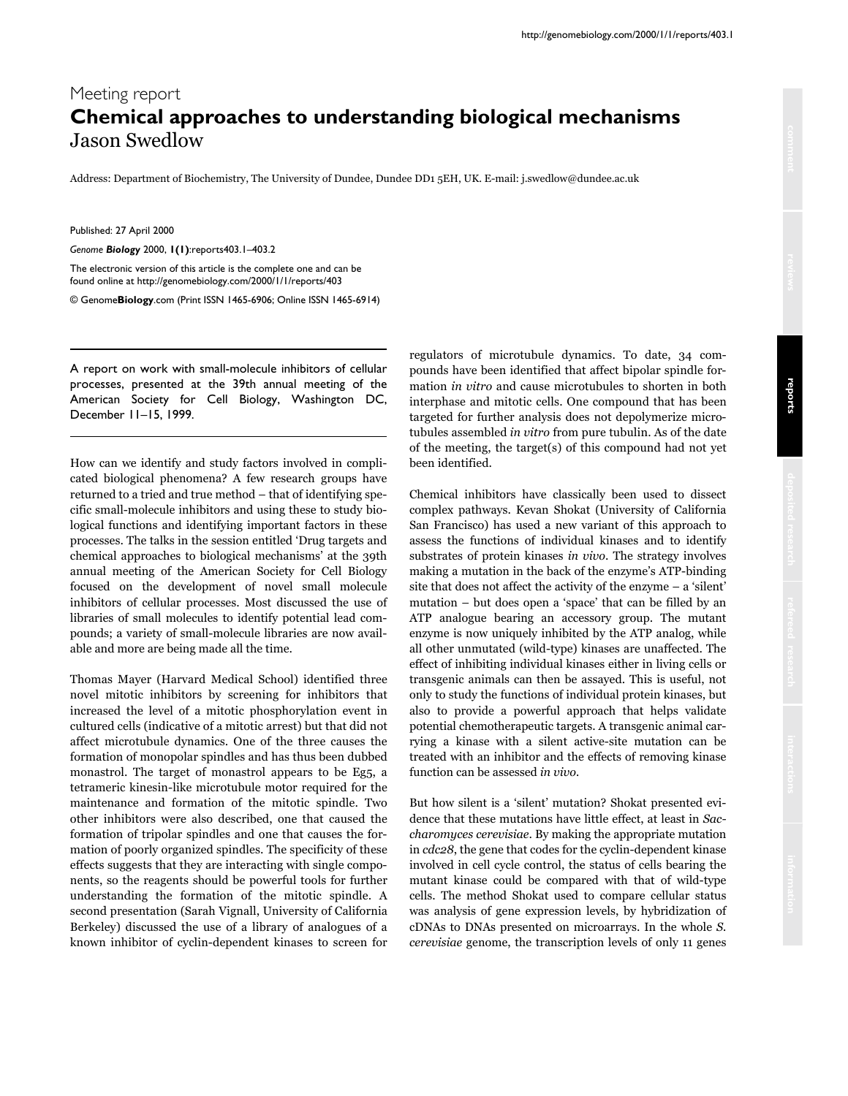## Meeting report **Chemical approaches to understanding biological mechanisms** Jason Swedlow

Address: Department of Biochemistry, The University of Dundee, Dundee DD1 5EH, UK. E-mail: j.swedlow@dundee.ac.uk

Published: 27 April 2000

*Genome Biology* 2000, **1(1)**:reports403.1–403.2

The electronic version of this article is the complete one and can be found online at http://genomebiology.com/2000/1/1/reports/403

© Genome**Biology**.com (Print ISSN 1465-6906; Online ISSN 1465-6914)

A report on work with small-molecule inhibitors of cellular processes, presented at the 39th annual meeting of the American Society for Cell Biology, Washington DC, December 11–15, 1999.

How can we identify and study factors involved in complicated biological phenomena? A few research groups have returned to a tried and true method – that of identifying specific small-molecule inhibitors and using these to study biological functions and identifying important factors in these processes. The talks in the session entitled 'Drug targets and chemical approaches to biological mechanisms' at the 39th annual meeting of the American Society for Cell Biology focused on the development of novel small molecule inhibitors of cellular processes. Most discussed the use of libraries of small molecules to identify potential lead compounds; a variety of small-molecule libraries are now available and more are being made all the time.

Thomas Mayer (Harvard Medical School) identified three novel mitotic inhibitors by screening for inhibitors that increased the level of a mitotic phosphorylation event in cultured cells (indicative of a mitotic arrest) but that did not affect microtubule dynamics. One of the three causes the formation of monopolar spindles and has thus been dubbed monastrol. The target of monastrol appears to be Eg5, a tetrameric kinesin-like microtubule motor required for the maintenance and formation of the mitotic spindle. Two other inhibitors were also described, one that caused the formation of tripolar spindles and one that causes the formation of poorly organized spindles. The specificity of these effects suggests that they are interacting with single components, so the reagents should be powerful tools for further understanding the formation of the mitotic spindle. A second presentation (Sarah Vignall, University of California Berkeley) discussed the use of a library of analogues of a known inhibitor of cyclin-dependent kinases to screen for regulators of microtubule dynamics. To date, 34 compounds have been identified that affect bipolar spindle formation *in vitro* and cause microtubules to shorten in both interphase and mitotic cells. One compound that has been targeted for further analysis does not depolymerize microtubules assembled *in vitro* from pure tubulin. As of the date of the meeting, the target(s) of this compound had not yet been identified.

Chemical inhibitors have classically been used to dissect complex pathways. Kevan Shokat (University of California San Francisco) has used a new variant of this approach to assess the functions of individual kinases and to identify substrates of protein kinases *in vivo*. The strategy involves making a mutation in the back of the enzyme's ATP-binding site that does not affect the activity of the enzyme – a 'silent' mutation – but does open a 'space' that can be filled by an ATP analogue bearing an accessory group. The mutant enzyme is now uniquely inhibited by the ATP analog, while all other unmutated (wild-type) kinases are unaffected. The effect of inhibiting individual kinases either in living cells or transgenic animals can then be assayed. This is useful, not only to study the functions of individual protein kinases, but also to provide a powerful approach that helps validate potential chemotherapeutic targets. A transgenic animal carrying a kinase with a silent active-site mutation can be treated with an inhibitor and the effects of removing kinase function can be assessed *in vivo.*

But how silent is a 'silent' mutation? Shokat presented evidence that these mutations have little effect, at least in *Saccharomyces cerevisiae*. By making the appropriate mutation in *cdc28*, the gene that codes for the cyclin-dependent kinase involved in cell cycle control, the status of cells bearing the mutant kinase could be compared with that of wild-type cells. The method Shokat used to compare cellular status was analysis of gene expression levels, by hybridization of cDNAs to DNAs presented on microarrays. In the whole *S. cerevisiae* genome, the transcription levels of only 11 genes